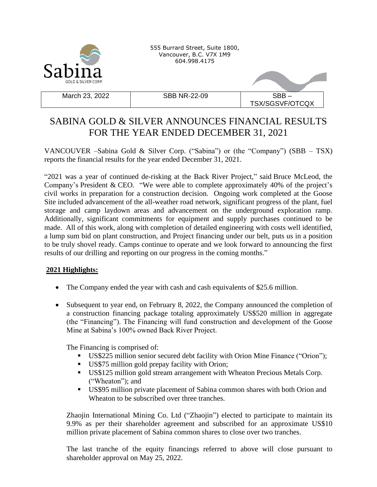

555 Burrard Street, Suite 1800, Vancouver, B.C. V7X 1M9 604.998.4175

March 23, 2022  $\vert$  SBB NR-22-09  $\vert$  SBB –

TSX/SGSVF/OTCQX

## SABINA GOLD & SILVER ANNOUNCES FINANCIAL RESULTS FOR THE YEAR ENDED DECEMBER 31, 2021

VANCOUVER –Sabina Gold & Silver Corp. ("Sabina") or (the "Company") (SBB – TSX) reports the financial results for the year ended December 31, 2021.

"2021 was a year of continued de-risking at the Back River Project," said Bruce McLeod, the Company's President & CEO. "We were able to complete approximately 40% of the project's civil works in preparation for a construction decision. Ongoing work completed at the Goose Site included advancement of the all-weather road network, significant progress of the plant, fuel storage and camp laydown areas and advancement on the underground exploration ramp. Additionally, significant commitments for equipment and supply purchases continued to be made. All of this work, along with completion of detailed engineering with costs well identified, a lump sum bid on plant construction, and Project financing under our belt, puts us in a position to be truly shovel ready. Camps continue to operate and we look forward to announcing the first results of our drilling and reporting on our progress in the coming months."

## **2021 Highlights:**

- The Company ended the year with cash and cash equivalents of \$25.6 million.
- Subsequent to year end, on February 8, 2022, the Company announced the completion of a construction financing package totaling approximately US\$520 million in aggregate (the "Financing"). The Financing will fund construction and development of the Goose Mine at Sabina's 100% owned Back River Project.

The Financing is comprised of:

- US\$225 million senior secured debt facility with Orion Mine Finance ("Orion");
- US\$75 million gold prepay facility with Orion;
- US\$125 million gold stream arrangement with Wheaton Precious Metals Corp. ("Wheaton"); and
- US\$95 million private placement of Sabina common shares with both Orion and Wheaton to be subscribed over three tranches.

Zhaojin International Mining Co. Ltd ("Zhaojin") elected to participate to maintain its 9.9% as per their shareholder agreement and subscribed for an approximate US\$10 million private placement of Sabina common shares to close over two tranches.

The last tranche of the equity financings referred to above will close pursuant to shareholder approval on May 25, 2022.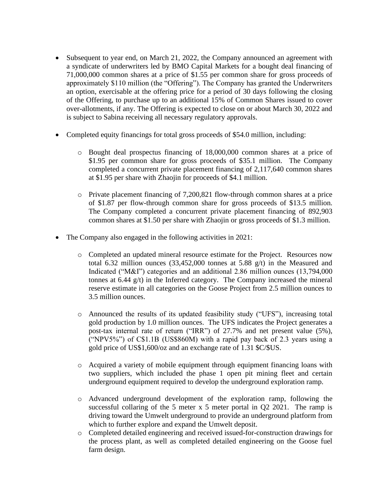- Subsequent to year end, on March 21, 2022, the Company announced an agreement with a syndicate of underwriters led by BMO Capital Markets for a bought deal financing of 71,000,000 common shares at a price of \$1.55 per common share for gross proceeds of approximately \$110 million (the "Offering"). The Company has granted the Underwriters an option, exercisable at the offering price for a period of 30 days following the closing of the Offering, to purchase up to an additional 15% of Common Shares issued to cover over-allotments, if any. The Offering is expected to close on or about March 30, 2022 and is subject to Sabina receiving all necessary regulatory approvals.
- Completed equity financings for total gross proceeds of \$54.0 million, including:
	- o Bought deal prospectus financing of 18,000,000 common shares at a price of \$1.95 per common share for gross proceeds of \$35.1 million. The Company completed a concurrent private placement financing of 2,117,640 common shares at \$1.95 per share with Zhaojin for proceeds of \$4.1 million.
	- o Private placement financing of 7,200,821 flow-through common shares at a price of \$1.87 per flow-through common share for gross proceeds of \$13.5 million. The Company completed a concurrent private placement financing of 892,903 common shares at \$1.50 per share with Zhaojin or gross proceeds of \$1.3 million.
- The Company also engaged in the following activities in 2021:
	- o Completed an updated mineral resource estimate for the Project. Resources now total 6.32 million ounces (33,452,000 tonnes at 5.88 g/t) in the Measured and Indicated ("M&I") categories and an additional 2.86 million ounces (13,794,000 tonnes at 6.44 g/t) in the Inferred category. The Company increased the mineral reserve estimate in all categories on the Goose Project from 2.5 million ounces to 3.5 million ounces.
	- o Announced the results of its updated feasibility study ("UFS"), increasing total gold production by 1.0 million ounces. The UFS indicates the Project generates a post-tax internal rate of return ("IRR") of 27.7% and net present value (5%), ("NPV5%") of C\$1.1B (US\$860M) with a rapid pay back of 2.3 years using a gold price of US\$1,600/oz and an exchange rate of 1.31 \$C/\$US.
	- o Acquired a variety of mobile equipment through equipment financing loans with two suppliers, which included the phase 1 open pit mining fleet and certain underground equipment required to develop the underground exploration ramp.
	- o Advanced underground development of the exploration ramp, following the successful collaring of the 5 meter x 5 meter portal in Q2 2021. The ramp is driving toward the Umwelt underground to provide an underground platform from which to further explore and expand the Umwelt deposit.
	- o Completed detailed engineering and received issued-for-construction drawings for the process plant, as well as completed detailed engineering on the Goose fuel farm design.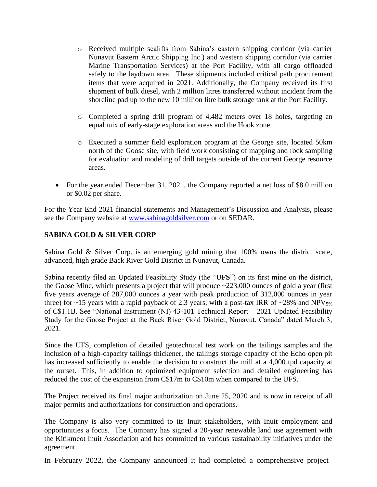- o Received multiple sealifts from Sabina's eastern shipping corridor (via carrier Nunavut Eastern Arctic Shipping Inc.) and western shipping corridor (via carrier Marine Transportation Services) at the Port Facility, with all cargo offloaded safely to the laydown area. These shipments included critical path procurement items that were acquired in 2021. Additionally, the Company received its first shipment of bulk diesel, with 2 million litres transferred without incident from the shoreline pad up to the new 10 million litre bulk storage tank at the Port Facility.
- o Completed a spring drill program of 4,482 meters over 18 holes, targeting an equal mix of early-stage exploration areas and the Hook zone.
- o Executed a summer field exploration program at the George site, located 50km north of the Goose site, with field work consisting of mapping and rock sampling for evaluation and modeling of drill targets outside of the current George resource areas.
- For the year ended December 31, 2021, the Company reported a net loss of \$8.0 million or \$0.02 per share.

For the Year End 2021 financial statements and Management's Discussion and Analysis, please see the Company website at [www.sabinagoldsilver.com](http://www.sabinagoldsilver.com/) or on SEDAR.

## **SABINA GOLD & SILVER CORP**

Sabina Gold & Silver Corp. is an emerging gold mining that 100% owns the district scale, advanced, high grade Back River Gold District in Nunavut, Canada.

Sabina recently filed an Updated Feasibility Study (the "**UFS**") on its first mine on the district, the Goose Mine, which presents a project that will produce ~223,000 ounces of gold a year (first five years average of 287,000 ounces a year with peak production of 312,000 ounces in year three) for ~15 years with a rapid payback of 2.3 years, with a post-tax IRR of ~28% and NPV<sub>5%</sub> of C\$1.1B. See "National Instrument (NI) 43-101 Technical Report – 2021 Updated Feasibility Study for the Goose Project at the Back River Gold District, Nunavut, Canada" dated March 3, 2021.

Since the UFS, completion of detailed geotechnical test work on the tailings samples and the inclusion of a high-capacity tailings thickener, the tailings storage capacity of the Echo open pit has increased sufficiently to enable the decision to construct the mill at a 4,000 tpd capacity at the outset. This, in addition to optimized equipment selection and detailed engineering has reduced the cost of the expansion from C\$17m to C\$10m when compared to the UFS.

The Project received its final major authorization on June 25, 2020 and is now in receipt of all major permits and authorizations for construction and operations.

The Company is also very committed to its Inuit stakeholders, with Inuit employment and opportunities a focus. The Company has signed a 20-year renewable land use agreement with the Kitikmeot Inuit Association and has committed to various sustainability initiatives under the agreement.

In February 2022, the Company announced it had completed a comprehensive project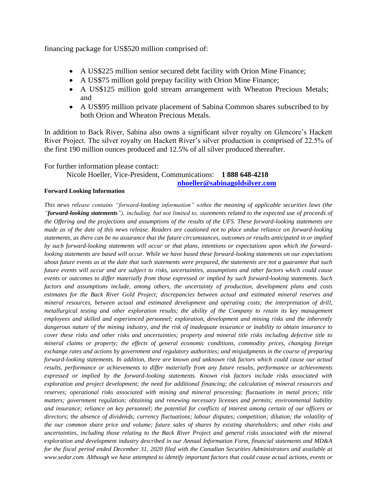financing package for US\$520 million comprised of:

- A US\$225 million senior secured debt facility with Orion Mine Finance;
- A US\$75 million gold prepay facility with Orion Mine Finance;
- A US\$125 million gold stream arrangement with Wheaton Precious Metals; and
- A US\$95 million private placement of Sabina Common shares subscribed to by both Orion and Wheaton Precious Metals.

In addition to Back River, Sabina also owns a significant silver royalty on Glencore's Hackett River Project. The silver royalty on Hackett River's silver production is comprised of 22.5% of the first 190 million ounces produced and 12.5% of all silver produced thereafter.

For further information please contact:

Nicole Hoeller, Vice-President, Communications: **1 888 648-4218** 

**[nhoeller@sabinagoldsilver.com](mailto:nhoeller@sabinagoldsilver.com)**

## **Forward Looking Information**

*This news release contains "forward-looking information" within the meaning of applicable securities laws (the "forward-looking statements"), including, but not limited to, statements related to the expected use of proceeds of the Offering and the projections and assumptions of the results of the UFS. These forward-looking statements are made as of the date of this news release. Readers are cautioned not to place undue reliance on forward-looking statements, as there can be no assurance that the future circumstances, outcomes or results anticipated in or implied by such forward-looking statements will occur or that plans, intentions or expectations upon which the forwardlooking statements are based will occur. While we have based these forward-looking statements on our expectations about future events as at the date that such statements were prepared, the statements are not a guarantee that such future events will occur and are subject to risks, uncertainties, assumptions and other factors which could cause events or outcomes to differ materially from those expressed or implied by such forward-looking statements. Such factors and assumptions include, among others, the uncertainty of production, development plans and costs estimates for the Back River Gold Project; discrepancies between actual and estimated mineral reserves and mineral resources, between actual and estimated development and operating costs; the interpretation of drill, metallurgical testing and other exploration results; the ability of the Company to retain its key management employees and skilled and experienced personnel; exploration, development and mining risks and the inherently dangerous nature of the mining industry, and the risk of inadequate insurance or inability to obtain insurance to cover these risks and other risks and uncertainties; property and mineral title risks including defective title to mineral claims or property; the effects of general economic conditions, commodity prices, changing foreign exchange rates and actions by government and regulatory authorities; and misjudgments in the course of preparing forward-looking statements. In addition, there are known and unknown risk factors which could cause our actual results, performance or achievements to differ materially from any future results, performance or achievements expressed or implied by the forward-looking statements. Known risk factors include risks associated with exploration and project development; the need for additional financing; the calculation of mineral resources and reserves; operational risks associated with mining and mineral processing; fluctuations in metal prices; title matters; government regulation; obtaining and renewing necessary licenses and permits; environmental liability and insurance; reliance on key personnel; the potential for conflicts of interest among certain of our officers or directors; the absence of dividends; currency fluctuations; labour disputes; competition; dilution; the volatility of the our common share price and volume; future sales of shares by existing shareholders; and other risks and uncertainties, including those relating to the Back River Project and general risks associated with the mineral exploration and development industry described in our Annual Information Form, financial statements and MD&A for the fiscal period ended December 31, 2020 filed with the Canadian Securities Administrators and available at www.sedar.com. Although we have attempted to identify important factors that could cause actual actions, events or*